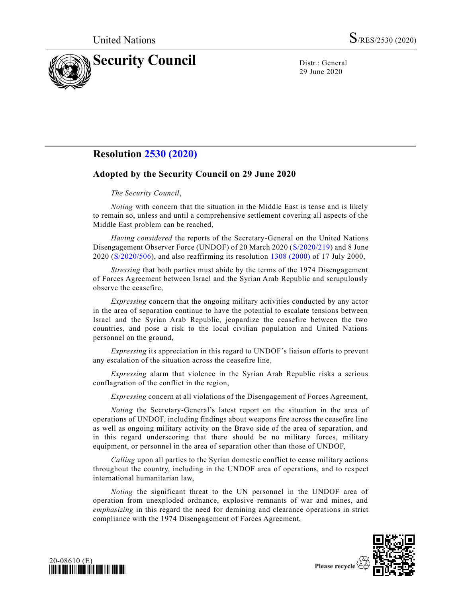

29 June 2020

## **Resolution [2530 \(2020\)](https://undocs.org/en/S/RES/2530(2020))**

## **Adopted by the Security Council on 29 June 2020**

## *The Security Council*,

*Noting* with concern that the situation in the Middle East is tense and is likely to remain so, unless and until a comprehensive settlement covering all aspects of the Middle East problem can be reached,

*Having considered* the reports of the Secretary-General on the United Nations Disengagement Observer Force (UNDOF) of 20 March 2020 [\(S/2020/219\)](https://undocs.org/en/S/2020/219) and 8 June 2020 [\(S/2020/506\)](https://undocs.org/en/S/2020/506), and also reaffirming its resolution [1308 \(2000\)](https://undocs.org/en/S/RES/1308(2000)) of 17 July 2000,

*Stressing* that both parties must abide by the terms of the 1974 Disengagement of Forces Agreement between Israel and the Syrian Arab Republic and scrupulously observe the ceasefire,

*Expressing* concern that the ongoing military activities conducted by any actor in the area of separation continue to have the potential to escalate tensions between Israel and the Syrian Arab Republic, jeopardize the ceasefire between the two countries, and pose a risk to the local civilian population and United Nations personnel on the ground,

*Expressing* its appreciation in this regard to UNDOF's liaison efforts to prevent any escalation of the situation across the ceasefire line*,* 

*Expressing* alarm that violence in the Syrian Arab Republic risks a serious conflagration of the conflict in the region,

*Expressing* concern at all violations of the Disengagement of Forces Agreement,

*Noting* the Secretary-General's latest report on the situation in the area of operations of UNDOF, including findings about weapons fire across the ceasefire line as well as ongoing military activity on the Bravo side of the area of separation, and in this regard underscoring that there should be no military forces, military equipment, or personnel in the area of separation other than those of UNDOF,

*Calling* upon all parties to the Syrian domestic conflict to cease military actions throughout the country, including in the UNDOF area of operations, and to res pect international humanitarian law,

*Noting* the significant threat to the UN personnel in the UNDOF area of operation from unexploded ordnance, explosive remnants of war and mines, and *emphasizing* in this regard the need for demining and clearance operations in strict compliance with the 1974 Disengagement of Forces Agreement,



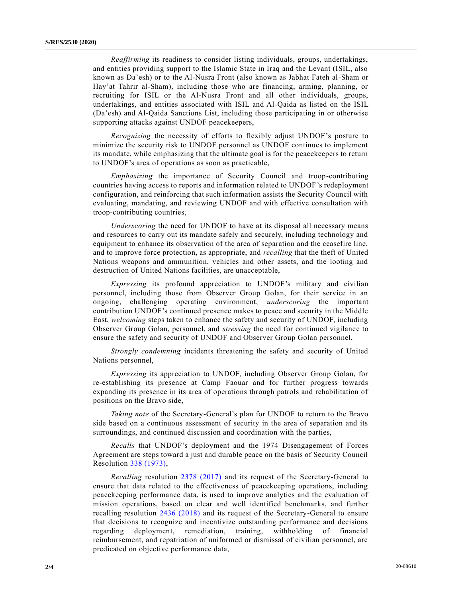*Reaffirming* its readiness to consider listing individuals, groups, undertakings, and entities providing support to the Islamic State in Iraq and the Levant (ISIL, also known as Da'esh) or to the Al-Nusra Front (also known as Jabhat Fateh al-Sham or Hay'at Tahrir al-Sham), including those who are financing, arming, planning, or recruiting for ISIL or the Al-Nusra Front and all other individuals, groups, undertakings, and entities associated with ISIL and Al-Qaida as listed on the ISIL (Da'esh) and Al-Qaida Sanctions List, including those participating in or otherwise supporting attacks against UNDOF peacekeepers,

*Recognizing* the necessity of efforts to flexibly adjust UNDOF's posture to minimize the security risk to UNDOF personnel as UNDOF continues to implement its mandate, while emphasizing that the ultimate goal is for the peacekeepers to return to UNDOF's area of operations as soon as practicable,

*Emphasizing* the importance of Security Council and troop-contributing countries having access to reports and information related to UNDOF's redeployment configuration, and reinforcing that such information assists the Security Council with evaluating, mandating, and reviewing UNDOF and with effective consultation with troop-contributing countries,

*Underscoring* the need for UNDOF to have at its disposal all necessary means and resources to carry out its mandate safely and securely, including technology and equipment to enhance its observation of the area of separation and the ceasefire line, and to improve force protection, as appropriate, and *recalling* that the theft of United Nations weapons and ammunition, vehicles and other assets, and the looting and destruction of United Nations facilities, are unacceptable,

*Expressing* its profound appreciation to UNDOF's military and civilian personnel, including those from Observer Group Golan, for their service in an ongoing, challenging operating environment, *underscoring* the important contribution UNDOF's continued presence makes to peace and security in the Middle East, *welcoming* steps taken to enhance the safety and security of UNDOF, including Observer Group Golan, personnel, and *stressing* the need for continued vigilance to ensure the safety and security of UNDOF and Observer Group Golan personnel,

*Strongly condemning* incidents threatening the safety and security of United Nations personnel,

*Expressing* its appreciation to UNDOF, including Observer Group Golan, for re-establishing its presence at Camp Faouar and for further progress towards expanding its presence in its area of operations through patrols and rehabilitation of positions on the Bravo side,

*Taking note* of the Secretary-General's plan for UNDOF to return to the Bravo side based on a continuous assessment of security in the area of separation and its surroundings, and continued discussion and coordination with the parties,

*Recalls* that UNDOF's deployment and the 1974 Disengagement of Forces Agreement are steps toward a just and durable peace on the basis of Security Council Resolution [338 \(1973\),](https://undocs.org/en/S/RES/338(1973))

*Recalling* resolution [2378 \(2017\)](https://undocs.org/en/S/RES/2378(2017)) and its request of the Secretary-General to ensure that data related to the effectiveness of peacekeeping operations, including peacekeeping performance data, is used to improve analytics and the evaluation of mission operations, based on clear and well identified benchmarks, and further recalling resolution [2436 \(2018\)](https://undocs.org/en/S/RES/2436(2018)) and its request of the Secretary-General to ensure that decisions to recognize and incentivize outstanding performance and decisions regarding deployment, remediation, training, withholding of financial reimbursement, and repatriation of uniformed or dismissal of civilian personnel, are predicated on objective performance data,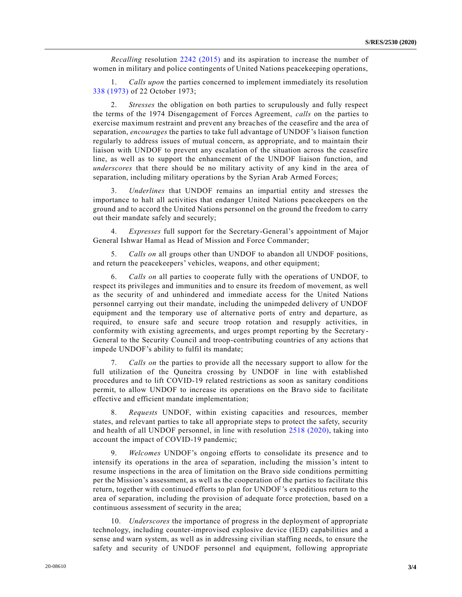*Recalling* resolution [2242 \(2015\)](https://undocs.org/en/S/RES/2242(2015)) and its aspiration to increase the number of women in military and police contingents of United Nations peacekeeping operations,

1. *Calls upon* the parties concerned to implement immediately its resolution [338 \(1973\)](https://undocs.org/en/S/RES/338(1973)) of 22 October 1973;

2. *Stresses* the obligation on both parties to scrupulously and fully respect the terms of the 1974 Disengagement of Forces Agreement, *calls* on the parties to exercise maximum restraint and prevent any breaches of the ceasefire and the area of separation, *encourages* the parties to take full advantage of UNDOF's liaison function regularly to address issues of mutual concern, as appropriate, and to maintain their liaison with UNDOF to prevent any escalation of the situation across the ceasefire line, as well as to support the enhancement of the UNDOF liaison function, and *underscores* that there should be no military activity of any kind in the area of separation, including military operations by the Syrian Arab Armed Forces;

3. *Underlines* that UNDOF remains an impartial entity and stresses the importance to halt all activities that endanger United Nations peacekeepers on the ground and to accord the United Nations personnel on the ground the freedom to carry out their mandate safely and securely;

4. *Expresses* full support for the Secretary-General's appointment of Major General Ishwar Hamal as Head of Mission and Force Commander;

5. *Calls on* all groups other than UNDOF to abandon all UNDOF positions, and return the peacekeepers' vehicles, weapons, and other equipment;

6. *Calls on* all parties to cooperate fully with the operations of UNDOF, to respect its privileges and immunities and to ensure its freedom of movement, as well as the security of and unhindered and immediate access for the United Nations personnel carrying out their mandate, including the unimpeded delivery of UNDOF equipment and the temporary use of alternative ports of entry and departure, as required, to ensure safe and secure troop rotation and resupply activities, in conformity with existing agreements, and urges prompt reporting by the Secretary - General to the Security Council and troop-contributing countries of any actions that impede UNDOF's ability to fulfil its mandate;

7. *Calls on* the parties to provide all the necessary support to allow for the full utilization of the Quneitra crossing by UNDOF in line with established procedures and to lift COVID-19 related restrictions as soon as sanitary conditions permit, to allow UNDOF to increase its operations on the Bravo side to facilitate effective and efficient mandate implementation;

8. *Requests* UNDOF, within existing capacities and resources, member states, and relevant parties to take all appropriate steps to protect the safety, security and health of all UNDOF personnel, in line with resolution [2518 \(2020\),](https://undocs.org/en/S/RES/2518(2020)) taking into account the impact of COVID-19 pandemic;

9. *Welcomes* UNDOF's ongoing efforts to consolidate its presence and to intensify its operations in the area of separation, including the mission's intent to resume inspections in the area of limitation on the Bravo side conditions permitting per the Mission's assessment, as well as the cooperation of the parties to facilitate this return, together with continued efforts to plan for UNDOF's expeditious return to the area of separation, including the provision of adequate force protection, based on a continuous assessment of security in the area;

10. *Underscores* the importance of progress in the deployment of appropriate technology, including counter-improvised explosive device (IED) capabilities and a sense and warn system, as well as in addressing civilian staffing needs, to ensure the safety and security of UNDOF personnel and equipment, following appropriate